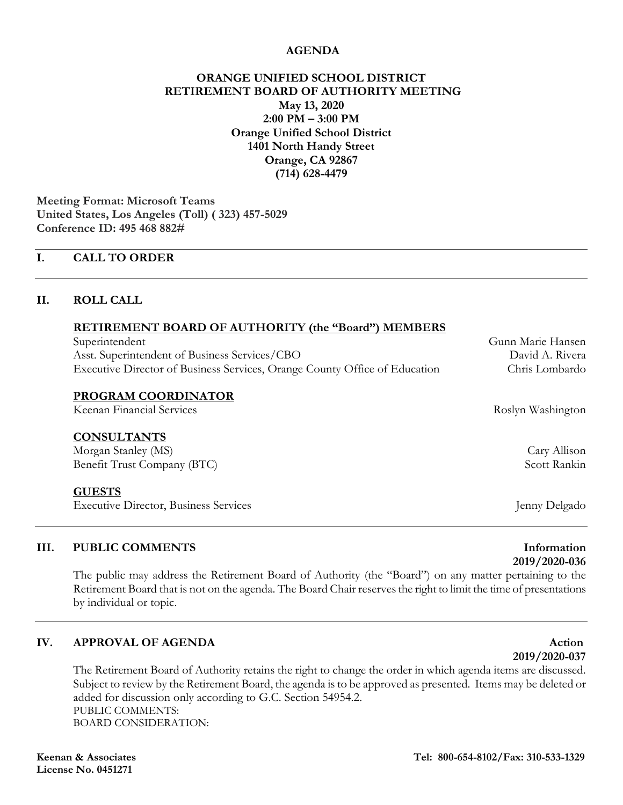### **AGENDA**

### **ORANGE UNIFIED SCHOOL DISTRICT RETIREMENT BOARD OF AUTHORITY MEETING May 13, 2020 2:00 PM – 3:00 PM Orange Unified School District 1401 North Handy Street Orange, CA 92867 (714) 628-4479**

**Meeting Format: Microsoft Teams United States, Los Angeles (Toll) ( [323\) 457-5029](tel:+1%20323-457-5029,,495468882# ) Conference ID: 495 468 882#** 

### **I. CALL TO ORDER**

### **II. ROLL CALL**

### **RETIREMENT BOARD OF AUTHORITY (the "Board") MEMBERS**

| Superintendent                                                             |
|----------------------------------------------------------------------------|
| Asst. Superintendent of Business Services/CBO                              |
| Executive Director of Business Services, Orange County Office of Education |

### **PROGRAM COORDINATOR**

Keenan Financial Services Roslyn Washington

### **CONSULTANTS**

Morgan Stanley (MS) Cary Allison Benefit Trust Company (BTC) Scott Rankin

### **GUESTS**

Executive Director, Business Services **Figure 2018** Jenny Delgado

### **III.** PUBLIC COMMENTS **Information**

The public may address the Retirement Board of Authority (the "Board") on any matter pertaining to the Retirement Board that is not on the agenda. The Board Chair reserves the right to limit the time of presentations by individual or topic.

### **IV. APPROVAL OF AGENDA Action**

The Retirement Board of Authority retains the right to change the order in which agenda items are discussed. Subject to review by the Retirement Board, the agenda is to be approved as presented. Items may be deleted or added for discussion only according to G.C. Section 54954.2. PUBLIC COMMENTS: BOARD CONSIDERATION:

# **2019/2020-036**

## Gunn Marie Hansen David A. Rivera Chris Lombardo

**2019/2020-037**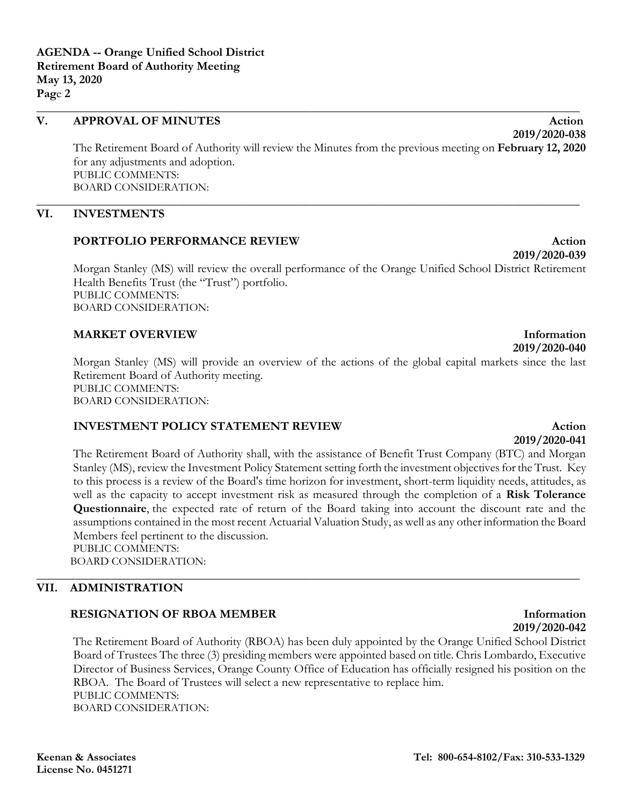### **V. APPROVAL OF MINUTES Action**

The Retirement Board of Authority will review the Minutes from the previous meeting on **February 12, 2020** for any adjustments and adoption. PUBLIC COMMENTS: BOARD CONSIDERATION:

**\_\_\_\_\_\_\_\_\_\_\_\_\_\_\_\_\_\_\_\_\_\_\_\_\_\_\_\_\_\_\_\_\_\_\_\_\_\_\_\_\_\_\_\_\_\_\_\_\_\_\_\_\_\_\_\_\_\_\_\_\_\_\_\_\_\_\_\_\_\_\_\_\_\_\_\_\_\_\_\_\_\_\_\_\_\_\_\_\_**

**\_\_\_\_\_\_\_\_\_\_\_\_\_\_\_\_\_\_\_\_\_\_\_\_\_\_\_\_\_\_\_\_\_\_\_\_\_\_\_\_\_\_\_\_\_\_\_\_\_\_\_\_\_\_\_\_\_\_\_\_\_\_\_\_\_\_\_\_\_\_\_\_\_\_\_\_\_\_\_\_\_\_\_\_\_\_\_\_\_**

### **VI. INVESTMENTS**

### **PORTFOLIO PERFORMANCE REVIEW Action**

Morgan Stanley (MS) will review the overall performance of the Orange Unified School District Retirement Health Benefits Trust (the "Trust") portfolio. PUBLIC COMMENTS: BOARD CONSIDERATION:

### **MARKET OVERVIEW Information**

Morgan Stanley (MS) will provide an overview of the actions of the global capital markets since the last Retirement Board of Authority meeting. PUBLIC COMMENTS: BOARD CONSIDERATION:

### **INVESTMENT POLICY STATEMENT REVIEW <b>Action**

## **2019/2020-041**

The Retirement Board of Authority shall, with the assistance of Benefit Trust Company (BTC) and Morgan Stanley (MS), review the Investment Policy Statement setting forth the investment objectives for the Trust. Key to this process is a review of the Board's time horizon for investment, short-term liquidity needs, attitudes, as well as the capacity to accept investment risk as measured through the completion of a **Risk Tolerance Questionnaire**, the expected rate of return of the Board taking into account the discount rate and the assumptions contained in the most recent Actuarial Valuation Study, as well as any other information the Board Members feel pertinent to the discussion. PUBLIC COMMENTS:

**\_\_\_\_\_\_\_\_\_\_\_\_\_\_\_\_\_\_\_\_\_\_\_\_\_\_\_\_\_\_\_\_\_\_\_\_\_\_\_\_\_\_\_\_\_\_\_\_\_\_\_\_\_\_\_\_\_\_\_\_\_\_\_\_\_\_\_\_\_\_\_\_\_\_\_\_\_\_\_\_\_\_\_\_\_\_\_\_\_**

BOARD CONSIDERATION:

### **VII. ADMINISTRATION**

### **RESIGNATION OF RBOA MEMBER Information**

The Retirement Board of Authority (RBOA) has been duly appointed by the Orange Unified School District Board of Trustees The three (3) presiding members were appointed based on title. Chris Lombardo, Executive Director of Business Services, Orange County Office of Education has officially resigned his position on the RBOA. The Board of Trustees will select a new representative to replace him. PUBLIC COMMENTS: BOARD CONSIDERATION:

# **2019/2020-042**

**2019/2020-039**

**2019/2020-038**

## **2019/2020-040**